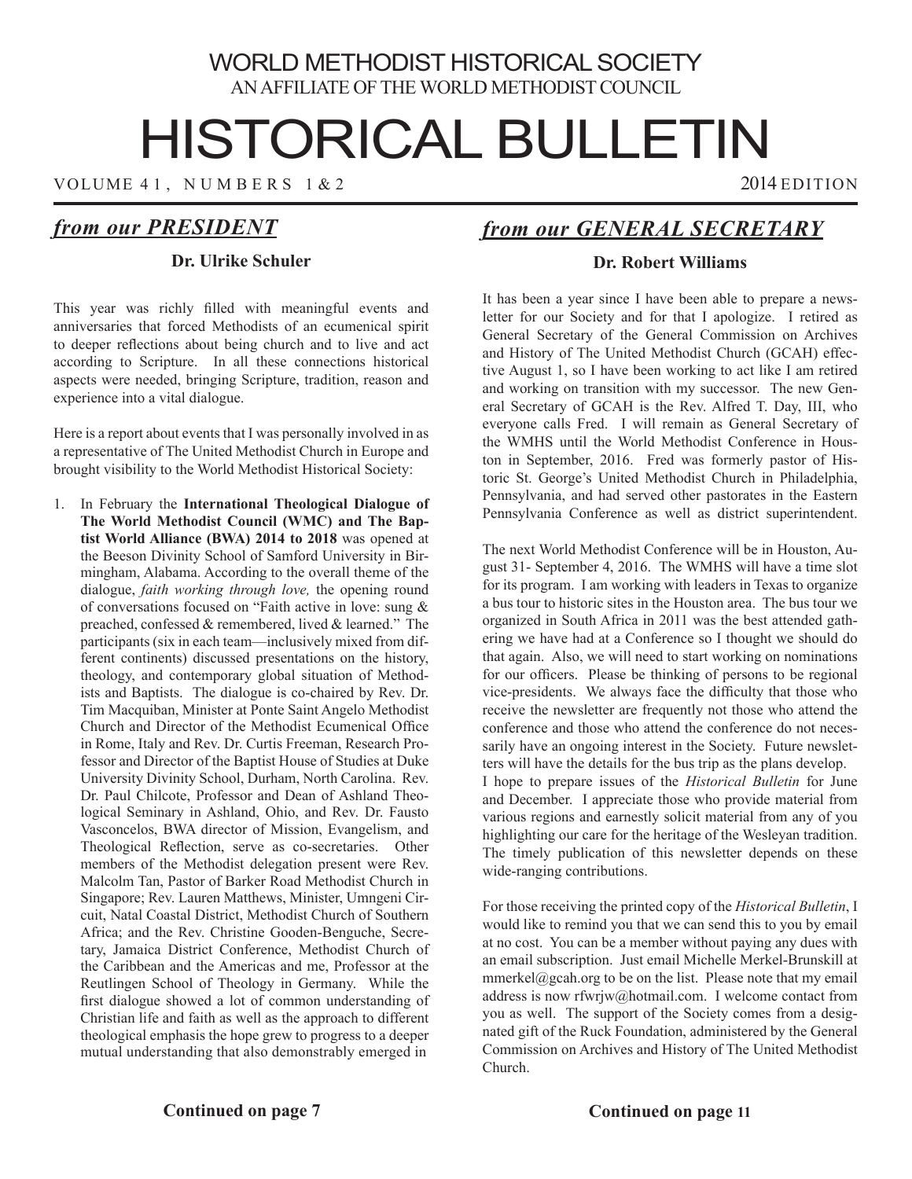## WORLD METHODIST HISTORICAL SOCIETY AN AFFILIATE OF THE WORLD METHODIST COUNCIL

# HISTORICAL BULLETIN

VOLUME 41, NUMBERS 1 & 2 2014 EDITION

# *from our PRESIDENT*

### **Dr. Ulrike Schuler**

This year was richly filled with meaningful events and anniversaries that forced Methodists of an ecumenical spirit to deeper reflections about being church and to live and act according to Scripture. In all these connections historical aspects were needed, bringing Scripture, tradition, reason and experience into a vital dialogue.

Here is a report about events that I was personally involved in as a representative of The United Methodist Church in Europe and brought visibility to the World Methodist Historical Society:

1. In February the **International Theological Dialogue of The World Methodist Council (WMC) and The Baptist World Alliance (BWA) 2014 to 2018** was opened at the Beeson Divinity School of Samford University in Birmingham, Alabama. According to the overall theme of the dialogue, *faith working through love,* the opening round of conversations focused on "Faith active in love: sung & preached, confessed & remembered, lived & learned." The participants (six in each team—inclusively mixed from different continents) discussed presentations on the history, theology, and contemporary global situation of Methodists and Baptists. The dialogue is co-chaired by Rev. Dr. Tim Macquiban, Minister at Ponte Saint Angelo Methodist Church and Director of the Methodist Ecumenical Office in Rome, Italy and Rev. Dr. Curtis Freeman, Research Professor and Director of the Baptist House of Studies at Duke University Divinity School, Durham, North Carolina. Rev. Dr. Paul Chilcote, Professor and Dean of Ashland Theological Seminary in Ashland, Ohio, and Rev. Dr. Fausto Vasconcelos, BWA director of Mission, Evangelism, and Theological Reflection, serve as co-secretaries. Other members of the Methodist delegation present were Rev. Malcolm Tan, Pastor of Barker Road Methodist Church in Singapore; Rev. Lauren Matthews, Minister, Umngeni Circuit, Natal Coastal District, Methodist Church of Southern Africa; and the Rev. Christine Gooden-Benguche, Secretary, Jamaica District Conference, Methodist Church of the Caribbean and the Americas and me, Professor at the Reutlingen School of Theology in Germany. While the first dialogue showed a lot of common understanding of Christian life and faith as well as the approach to different theological emphasis the hope grew to progress to a deeper mutual understanding that also demonstrably emerged in

# *from our GENERAL SECRETARY*

## **Dr. Robert Williams**

It has been a year since I have been able to prepare a newsletter for our Society and for that I apologize. I retired as General Secretary of the General Commission on Archives and History of The United Methodist Church (GCAH) effective August 1, so I have been working to act like I am retired and working on transition with my successor. The new General Secretary of GCAH is the Rev. Alfred T. Day, III, who everyone calls Fred. I will remain as General Secretary of the WMHS until the World Methodist Conference in Houston in September, 2016. Fred was formerly pastor of Historic St. George's United Methodist Church in Philadelphia, Pennsylvania, and had served other pastorates in the Eastern Pennsylvania Conference as well as district superintendent.

The next World Methodist Conference will be in Houston, August 31- September 4, 2016. The WMHS will have a time slot for its program. I am working with leaders in Texas to organize a bus tour to historic sites in the Houston area. The bus tour we organized in South Africa in 2011 was the best attended gathering we have had at a Conference so I thought we should do that again. Also, we will need to start working on nominations for our officers. Please be thinking of persons to be regional vice-presidents. We always face the difficulty that those who receive the newsletter are frequently not those who attend the conference and those who attend the conference do not necessarily have an ongoing interest in the Society. Future newsletters will have the details for the bus trip as the plans develop. I hope to prepare issues of the *Historical Bulletin* for June and December. I appreciate those who provide material from various regions and earnestly solicit material from any of you highlighting our care for the heritage of the Wesleyan tradition. The timely publication of this newsletter depends on these wide-ranging contributions.

For those receiving the printed copy of the *Historical Bulletin*, I would like to remind you that we can send this to you by email at no cost. You can be a member without paying any dues with an email subscription. Just email Michelle Merkel-Brunskill at mmerkel@gcah.org to be on the list. Please note that my email address is now rfwrjw@hotmail.com. I welcome contact from you as well. The support of the Society comes from a designated gift of the Ruck Foundation, administered by the General Commission on Archives and History of The United Methodist Church.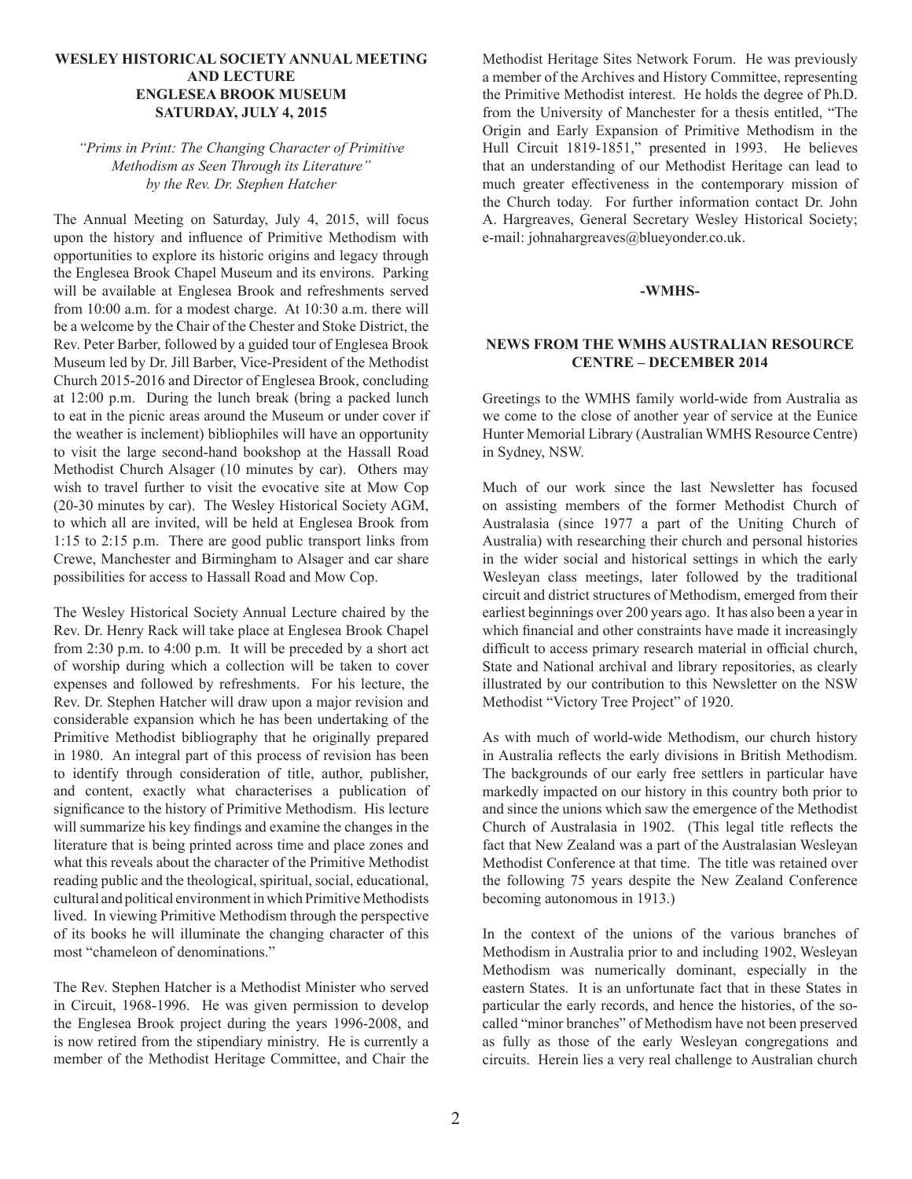#### **WESLEY HISTORICAL SOCIETY ANNUAL MEETING AND LECTURE ENGLESEA BROOK MUSEUM SATURDAY, JULY 4, 2015**

#### *"Prims in Print: The Changing Character of Primitive Methodism as Seen Through its Literature" by the Rev. Dr. Stephen Hatcher*

The Annual Meeting on Saturday, July 4, 2015, will focus upon the history and influence of Primitive Methodism with opportunities to explore its historic origins and legacy through the Englesea Brook Chapel Museum and its environs. Parking will be available at Englesea Brook and refreshments served from 10:00 a.m. for a modest charge. At 10:30 a.m. there will be a welcome by the Chair of the Chester and Stoke District, the Rev. Peter Barber, followed by a guided tour of Englesea Brook Museum led by Dr. Jill Barber, Vice-President of the Methodist Church 2015-2016 and Director of Englesea Brook, concluding at 12:00 p.m. During the lunch break (bring a packed lunch to eat in the picnic areas around the Museum or under cover if the weather is inclement) bibliophiles will have an opportunity to visit the large second-hand bookshop at the Hassall Road Methodist Church Alsager (10 minutes by car). Others may wish to travel further to visit the evocative site at Mow Cop (20-30 minutes by car). The Wesley Historical Society AGM, to which all are invited, will be held at Englesea Brook from 1:15 to 2:15 p.m. There are good public transport links from Crewe, Manchester and Birmingham to Alsager and car share possibilities for access to Hassall Road and Mow Cop.

The Wesley Historical Society Annual Lecture chaired by the Rev. Dr. Henry Rack will take place at Englesea Brook Chapel from 2:30 p.m. to 4:00 p.m. It will be preceded by a short act of worship during which a collection will be taken to cover expenses and followed by refreshments. For his lecture, the Rev. Dr. Stephen Hatcher will draw upon a major revision and considerable expansion which he has been undertaking of the Primitive Methodist bibliography that he originally prepared in 1980. An integral part of this process of revision has been to identify through consideration of title, author, publisher, and content, exactly what characterises a publication of significance to the history of Primitive Methodism. His lecture will summarize his key findings and examine the changes in the literature that is being printed across time and place zones and what this reveals about the character of the Primitive Methodist reading public and the theological, spiritual, social, educational, cultural and political environment in which Primitive Methodists lived. In viewing Primitive Methodism through the perspective of its books he will illuminate the changing character of this most "chameleon of denominations."

The Rev. Stephen Hatcher is a Methodist Minister who served in Circuit, 1968-1996. He was given permission to develop the Englesea Brook project during the years 1996-2008, and is now retired from the stipendiary ministry. He is currently a member of the Methodist Heritage Committee, and Chair the

Methodist Heritage Sites Network Forum. He was previously a member of the Archives and History Committee, representing the Primitive Methodist interest. He holds the degree of Ph.D. from the University of Manchester for a thesis entitled, "The Origin and Early Expansion of Primitive Methodism in the Hull Circuit 1819-1851," presented in 1993. He believes that an understanding of our Methodist Heritage can lead to much greater effectiveness in the contemporary mission of the Church today. For further information contact Dr. John A. Hargreaves, General Secretary Wesley Historical Society; e-mail: johnahargreaves@blueyonder.co.uk.

#### **-WMHS-**

#### **NEWS FROM THE WMHS AUSTRALIAN RESOURCE CENTRE – DECEMBER 2014**

Greetings to the WMHS family world-wide from Australia as we come to the close of another year of service at the Eunice Hunter Memorial Library (Australian WMHS Resource Centre) in Sydney, NSW.

Much of our work since the last Newsletter has focused on assisting members of the former Methodist Church of Australasia (since 1977 a part of the Uniting Church of Australia) with researching their church and personal histories in the wider social and historical settings in which the early Wesleyan class meetings, later followed by the traditional circuit and district structures of Methodism, emerged from their earliest beginnings over 200 years ago. It has also been a year in which financial and other constraints have made it increasingly difficult to access primary research material in official church, State and National archival and library repositories, as clearly illustrated by our contribution to this Newsletter on the NSW Methodist "Victory Tree Project" of 1920.

As with much of world-wide Methodism, our church history in Australia reflects the early divisions in British Methodism. The backgrounds of our early free settlers in particular have markedly impacted on our history in this country both prior to and since the unions which saw the emergence of the Methodist Church of Australasia in 1902. (This legal title reflects the fact that New Zealand was a part of the Australasian Wesleyan Methodist Conference at that time. The title was retained over the following 75 years despite the New Zealand Conference becoming autonomous in 1913.)

In the context of the unions of the various branches of Methodism in Australia prior to and including 1902, Wesleyan Methodism was numerically dominant, especially in the eastern States. It is an unfortunate fact that in these States in particular the early records, and hence the histories, of the socalled "minor branches" of Methodism have not been preserved as fully as those of the early Wesleyan congregations and circuits. Herein lies a very real challenge to Australian church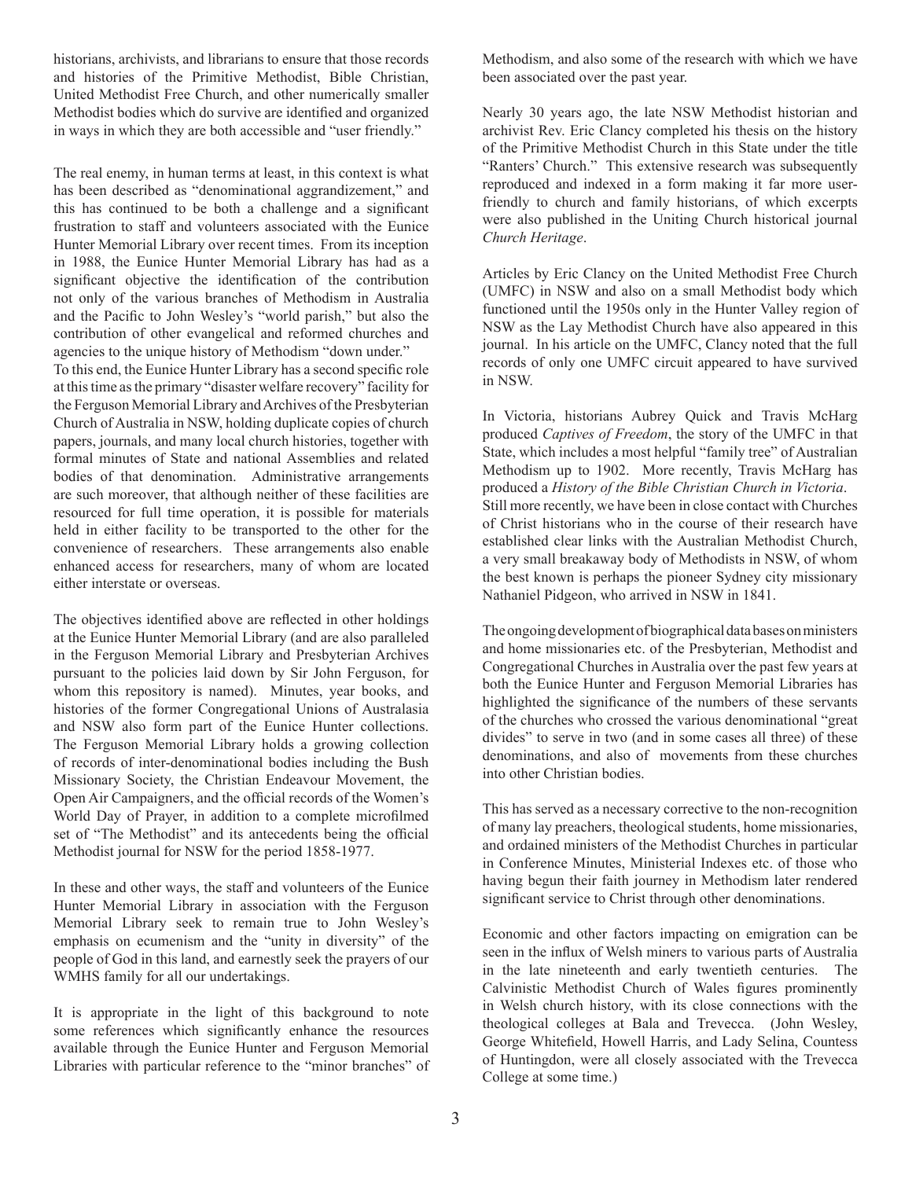historians, archivists, and librarians to ensure that those records and histories of the Primitive Methodist, Bible Christian, United Methodist Free Church, and other numerically smaller Methodist bodies which do survive are identified and organized in ways in which they are both accessible and "user friendly."

The real enemy, in human terms at least, in this context is what has been described as "denominational aggrandizement," and this has continued to be both a challenge and a significant frustration to staff and volunteers associated with the Eunice Hunter Memorial Library over recent times. From its inception in 1988, the Eunice Hunter Memorial Library has had as a significant objective the identification of the contribution not only of the various branches of Methodism in Australia and the Pacific to John Wesley's "world parish," but also the contribution of other evangelical and reformed churches and agencies to the unique history of Methodism "down under." To this end, the Eunice Hunter Library has a second specific role at this time as the primary "disaster welfare recovery" facility for

the Ferguson Memorial Library and Archives of the Presbyterian Church of Australia in NSW, holding duplicate copies of church papers, journals, and many local church histories, together with formal minutes of State and national Assemblies and related bodies of that denomination. Administrative arrangements are such moreover, that although neither of these facilities are resourced for full time operation, it is possible for materials held in either facility to be transported to the other for the convenience of researchers. These arrangements also enable enhanced access for researchers, many of whom are located either interstate or overseas.

The objectives identified above are reflected in other holdings at the Eunice Hunter Memorial Library (and are also paralleled in the Ferguson Memorial Library and Presbyterian Archives pursuant to the policies laid down by Sir John Ferguson, for whom this repository is named). Minutes, year books, and histories of the former Congregational Unions of Australasia and NSW also form part of the Eunice Hunter collections. The Ferguson Memorial Library holds a growing collection of records of inter-denominational bodies including the Bush Missionary Society, the Christian Endeavour Movement, the Open Air Campaigners, and the official records of the Women's World Day of Prayer, in addition to a complete microfilmed set of "The Methodist" and its antecedents being the official Methodist journal for NSW for the period 1858-1977.

In these and other ways, the staff and volunteers of the Eunice Hunter Memorial Library in association with the Ferguson Memorial Library seek to remain true to John Wesley's emphasis on ecumenism and the "unity in diversity" of the people of God in this land, and earnestly seek the prayers of our WMHS family for all our undertakings.

It is appropriate in the light of this background to note some references which significantly enhance the resources available through the Eunice Hunter and Ferguson Memorial Libraries with particular reference to the "minor branches" of Methodism, and also some of the research with which we have been associated over the past year.

Nearly 30 years ago, the late NSW Methodist historian and archivist Rev. Eric Clancy completed his thesis on the history of the Primitive Methodist Church in this State under the title "Ranters' Church." This extensive research was subsequently reproduced and indexed in a form making it far more userfriendly to church and family historians, of which excerpts were also published in the Uniting Church historical journal *Church Heritage*.

Articles by Eric Clancy on the United Methodist Free Church (UMFC) in NSW and also on a small Methodist body which functioned until the 1950s only in the Hunter Valley region of NSW as the Lay Methodist Church have also appeared in this journal. In his article on the UMFC, Clancy noted that the full records of only one UMFC circuit appeared to have survived in NSW.

In Victoria, historians Aubrey Quick and Travis McHarg produced *Captives of Freedom*, the story of the UMFC in that State, which includes a most helpful "family tree" of Australian Methodism up to 1902. More recently, Travis McHarg has produced a *History of the Bible Christian Church in Victoria*. Still more recently, we have been in close contact with Churches of Christ historians who in the course of their research have established clear links with the Australian Methodist Church, a very small breakaway body of Methodists in NSW, of whom the best known is perhaps the pioneer Sydney city missionary Nathaniel Pidgeon, who arrived in NSW in 1841.

The ongoing development of biographical data bases on ministers and home missionaries etc. of the Presbyterian, Methodist and Congregational Churches in Australia over the past few years at both the Eunice Hunter and Ferguson Memorial Libraries has highlighted the significance of the numbers of these servants of the churches who crossed the various denominational "great divides" to serve in two (and in some cases all three) of these denominations, and also of movements from these churches into other Christian bodies.

This has served as a necessary corrective to the non-recognition of many lay preachers, theological students, home missionaries, and ordained ministers of the Methodist Churches in particular in Conference Minutes, Ministerial Indexes etc. of those who having begun their faith journey in Methodism later rendered significant service to Christ through other denominations.

Economic and other factors impacting on emigration can be seen in the influx of Welsh miners to various parts of Australia in the late nineteenth and early twentieth centuries. The Calvinistic Methodist Church of Wales figures prominently in Welsh church history, with its close connections with the theological colleges at Bala and Trevecca. (John Wesley, George Whitefield, Howell Harris, and Lady Selina, Countess of Huntingdon, were all closely associated with the Trevecca College at some time.)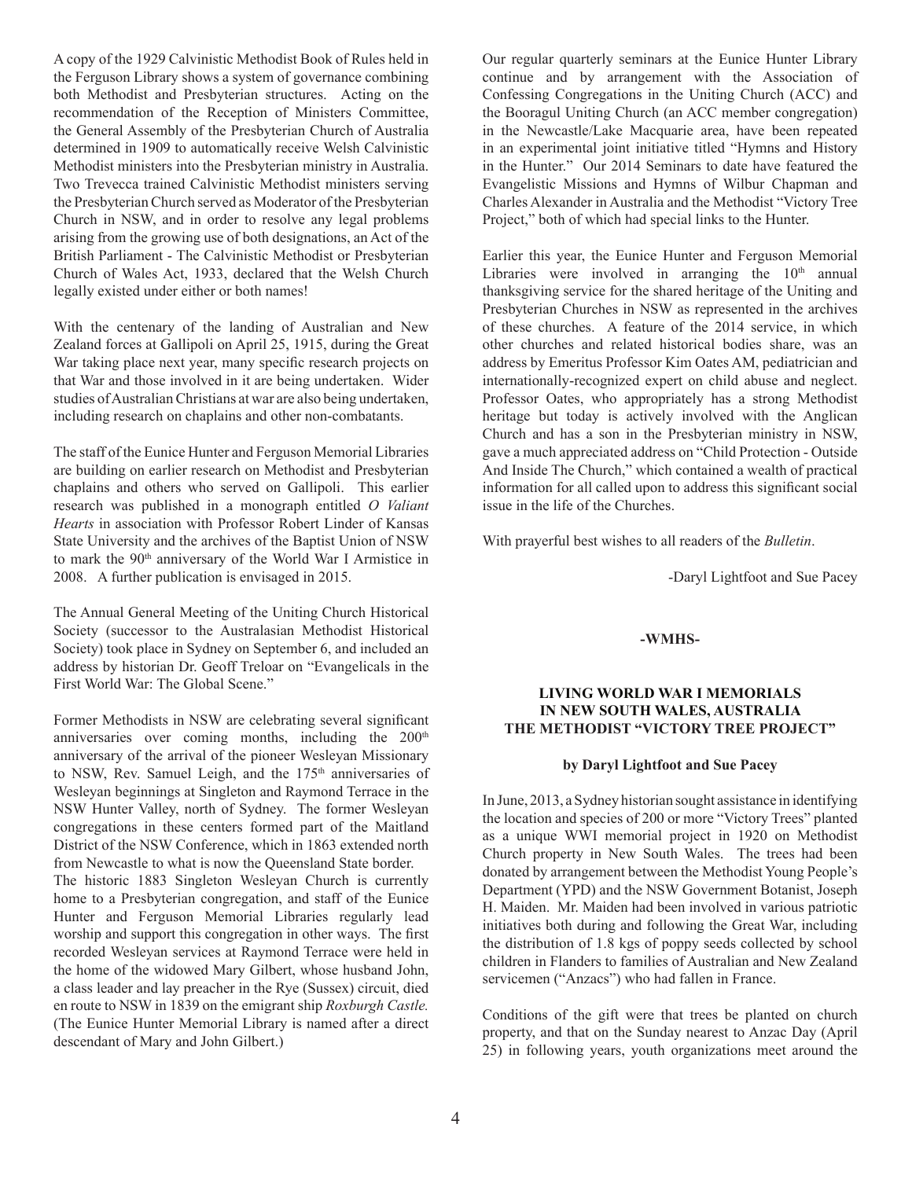A copy of the 1929 Calvinistic Methodist Book of Rules held in the Ferguson Library shows a system of governance combining both Methodist and Presbyterian structures. Acting on the recommendation of the Reception of Ministers Committee, the General Assembly of the Presbyterian Church of Australia determined in 1909 to automatically receive Welsh Calvinistic Methodist ministers into the Presbyterian ministry in Australia. Two Trevecca trained Calvinistic Methodist ministers serving the Presbyterian Church served as Moderator of the Presbyterian Church in NSW, and in order to resolve any legal problems arising from the growing use of both designations, an Act of the British Parliament - The Calvinistic Methodist or Presbyterian Church of Wales Act, 1933, declared that the Welsh Church legally existed under either or both names!

With the centenary of the landing of Australian and New Zealand forces at Gallipoli on April 25, 1915, during the Great War taking place next year, many specific research projects on that War and those involved in it are being undertaken. Wider studies of Australian Christians at war are also being undertaken, including research on chaplains and other non-combatants.

The staff of the Eunice Hunter and Ferguson Memorial Libraries are building on earlier research on Methodist and Presbyterian chaplains and others who served on Gallipoli. This earlier research was published in a monograph entitled *O Valiant Hearts* in association with Professor Robert Linder of Kansas State University and the archives of the Baptist Union of NSW to mark the 90th anniversary of the World War I Armistice in 2008. A further publication is envisaged in 2015.

The Annual General Meeting of the Uniting Church Historical Society (successor to the Australasian Methodist Historical Society) took place in Sydney on September 6, and included an address by historian Dr. Geoff Treloar on "Evangelicals in the First World War: The Global Scene."

Former Methodists in NSW are celebrating several significant anniversaries over coming months, including the 200<sup>th</sup> anniversary of the arrival of the pioneer Wesleyan Missionary to NSW, Rev. Samuel Leigh, and the 175<sup>th</sup> anniversaries of Wesleyan beginnings at Singleton and Raymond Terrace in the NSW Hunter Valley, north of Sydney. The former Wesleyan congregations in these centers formed part of the Maitland District of the NSW Conference, which in 1863 extended north from Newcastle to what is now the Queensland State border.

The historic 1883 Singleton Wesleyan Church is currently home to a Presbyterian congregation, and staff of the Eunice Hunter and Ferguson Memorial Libraries regularly lead worship and support this congregation in other ways. The first recorded Wesleyan services at Raymond Terrace were held in the home of the widowed Mary Gilbert, whose husband John, a class leader and lay preacher in the Rye (Sussex) circuit, died en route to NSW in 1839 on the emigrant ship *Roxburgh Castle.*  (The Eunice Hunter Memorial Library is named after a direct descendant of Mary and John Gilbert.)

Our regular quarterly seminars at the Eunice Hunter Library continue and by arrangement with the Association of Confessing Congregations in the Uniting Church (ACC) and the Booragul Uniting Church (an ACC member congregation) in the Newcastle/Lake Macquarie area, have been repeated in an experimental joint initiative titled "Hymns and History in the Hunter." Our 2014 Seminars to date have featured the Evangelistic Missions and Hymns of Wilbur Chapman and Charles Alexander in Australia and the Methodist "Victory Tree Project," both of which had special links to the Hunter.

Earlier this year, the Eunice Hunter and Ferguson Memorial Libraries were involved in arranging the  $10<sup>th</sup>$  annual thanksgiving service for the shared heritage of the Uniting and Presbyterian Churches in NSW as represented in the archives of these churches. A feature of the 2014 service, in which other churches and related historical bodies share, was an address by Emeritus Professor Kim Oates AM, pediatrician and internationally-recognized expert on child abuse and neglect. Professor Oates, who appropriately has a strong Methodist heritage but today is actively involved with the Anglican Church and has a son in the Presbyterian ministry in NSW, gave a much appreciated address on "Child Protection - Outside And Inside The Church," which contained a wealth of practical information for all called upon to address this significant social issue in the life of the Churches.

With prayerful best wishes to all readers of the *Bulletin*.

-Daryl Lightfoot and Sue Pacey

#### **-WMHS-**

#### **LIVING WORLD WAR I MEMORIALS IN NEW SOUTH WALES, AUSTRALIA THE METHODIST "VICTORY TREE PROJECT"**

#### **by Daryl Lightfoot and Sue Pacey**

In June, 2013, a Sydney historian sought assistance in identifying the location and species of 200 or more "Victory Trees" planted as a unique WWI memorial project in 1920 on Methodist Church property in New South Wales. The trees had been donated by arrangement between the Methodist Young People's Department (YPD) and the NSW Government Botanist, Joseph H. Maiden. Mr. Maiden had been involved in various patriotic initiatives both during and following the Great War, including the distribution of 1.8 kgs of poppy seeds collected by school children in Flanders to families of Australian and New Zealand servicemen ("Anzacs") who had fallen in France.

Conditions of the gift were that trees be planted on church property, and that on the Sunday nearest to Anzac Day (April 25) in following years, youth organizations meet around the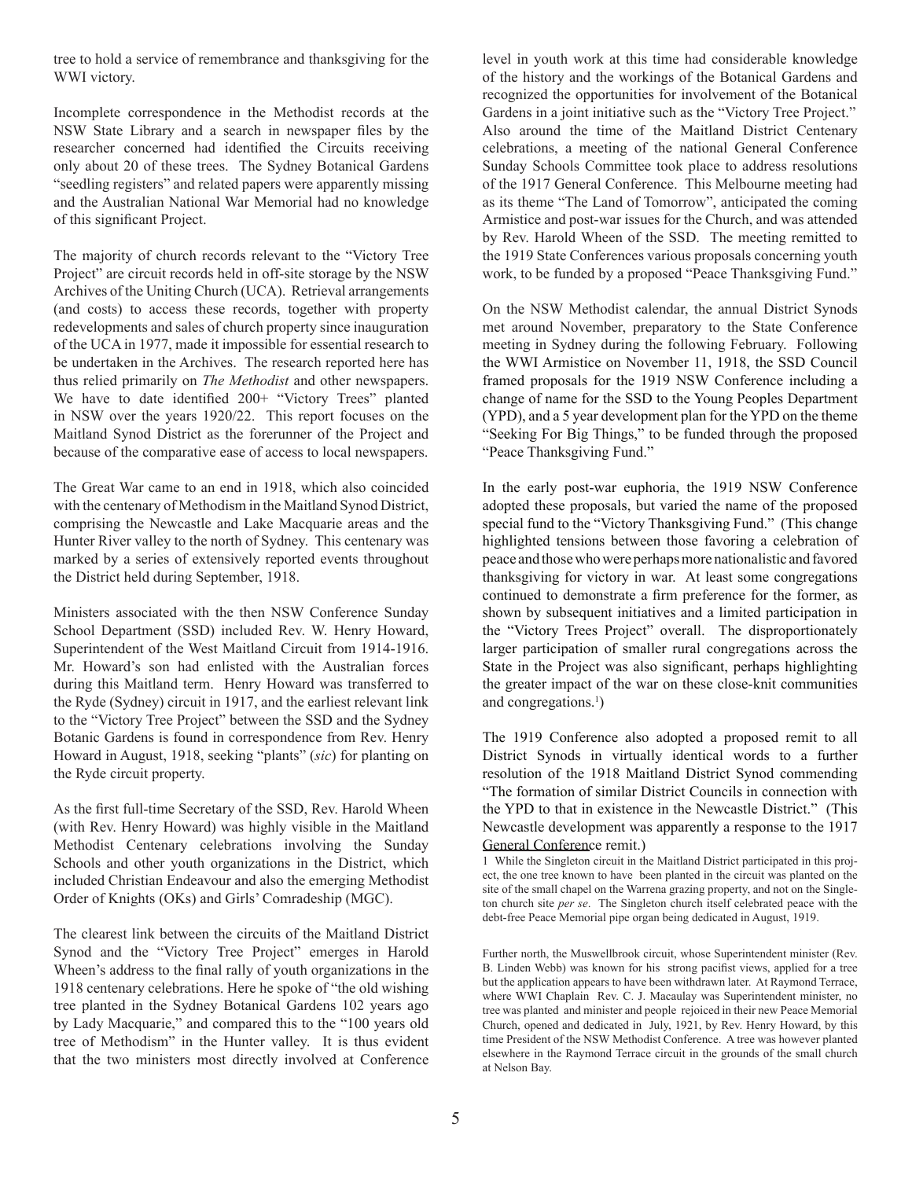tree to hold a service of remembrance and thanksgiving for the WWI victory.

Incomplete correspondence in the Methodist records at the NSW State Library and a search in newspaper files by the researcher concerned had identified the Circuits receiving only about 20 of these trees. The Sydney Botanical Gardens "seedling registers" and related papers were apparently missing and the Australian National War Memorial had no knowledge of this significant Project.

The majority of church records relevant to the "Victory Tree Project" are circuit records held in off-site storage by the NSW Archives of the Uniting Church (UCA). Retrieval arrangements (and costs) to access these records, together with property redevelopments and sales of church property since inauguration of the UCA in 1977, made it impossible for essential research to be undertaken in the Archives. The research reported here has thus relied primarily on *The Methodist* and other newspapers. We have to date identified 200+ "Victory Trees" planted in NSW over the years 1920/22. This report focuses on the Maitland Synod District as the forerunner of the Project and because of the comparative ease of access to local newspapers.

The Great War came to an end in 1918, which also coincided with the centenary of Methodism in the Maitland Synod District, comprising the Newcastle and Lake Macquarie areas and the Hunter River valley to the north of Sydney. This centenary was marked by a series of extensively reported events throughout the District held during September, 1918.

Ministers associated with the then NSW Conference Sunday School Department (SSD) included Rev. W. Henry Howard, Superintendent of the West Maitland Circuit from 1914-1916. Mr. Howard's son had enlisted with the Australian forces during this Maitland term. Henry Howard was transferred to the Ryde (Sydney) circuit in 1917, and the earliest relevant link to the "Victory Tree Project" between the SSD and the Sydney Botanic Gardens is found in correspondence from Rev. Henry Howard in August, 1918, seeking "plants" (*sic*) for planting on the Ryde circuit property.

As the first full-time Secretary of the SSD, Rev. Harold Wheen (with Rev. Henry Howard) was highly visible in the Maitland Methodist Centenary celebrations involving the Sunday Schools and other youth organizations in the District, which included Christian Endeavour and also the emerging Methodist Order of Knights (OKs) and Girls' Comradeship (MGC).

The clearest link between the circuits of the Maitland District Synod and the "Victory Tree Project" emerges in Harold Wheen's address to the final rally of youth organizations in the 1918 centenary celebrations. Here he spoke of "the old wishing tree planted in the Sydney Botanical Gardens 102 years ago by Lady Macquarie," and compared this to the "100 years old tree of Methodism" in the Hunter valley. It is thus evident that the two ministers most directly involved at Conference level in youth work at this time had considerable knowledge of the history and the workings of the Botanical Gardens and recognized the opportunities for involvement of the Botanical Gardens in a joint initiative such as the "Victory Tree Project." Also around the time of the Maitland District Centenary celebrations, a meeting of the national General Conference Sunday Schools Committee took place to address resolutions of the 1917 General Conference. This Melbourne meeting had as its theme "The Land of Tomorrow", anticipated the coming Armistice and post-war issues for the Church, and was attended by Rev. Harold Wheen of the SSD. The meeting remitted to the 1919 State Conferences various proposals concerning youth work, to be funded by a proposed "Peace Thanksgiving Fund."

On the NSW Methodist calendar, the annual District Synods met around November, preparatory to the State Conference meeting in Sydney during the following February. Following the WWI Armistice on November 11, 1918, the SSD Council framed proposals for the 1919 NSW Conference including a change of name for the SSD to the Young Peoples Department (YPD), and a 5 year development plan for the YPD on the theme "Seeking For Big Things," to be funded through the proposed "Peace Thanksgiving Fund."

In the early post-war euphoria, the 1919 NSW Conference adopted these proposals, but varied the name of the proposed special fund to the "Victory Thanksgiving Fund." (This change highlighted tensions between those favoring a celebration of peace and those who were perhaps more nationalistic and favored thanksgiving for victory in war. At least some congregations continued to demonstrate a firm preference for the former, as shown by subsequent initiatives and a limited participation in the "Victory Trees Project" overall. The disproportionately larger participation of smaller rural congregations across the State in the Project was also significant, perhaps highlighting the greater impact of the war on these close-knit communities and congregations.<sup>1</sup>)

The 1919 Conference also adopted a proposed remit to all District Synods in virtually identical words to a further resolution of the 1918 Maitland District Synod commending "The formation of similar District Councils in connection with the YPD to that in existence in the Newcastle District." (This Newcastle development was apparently a response to the 1917 General Conference remit.)

1 While the Singleton circuit in the Maitland District participated in this project, the one tree known to have been planted in the circuit was planted on the site of the small chapel on the Warrena grazing property, and not on the Singleton church site *per se*. The Singleton church itself celebrated peace with the debt-free Peace Memorial pipe organ being dedicated in August, 1919.

Further north, the Muswellbrook circuit, whose Superintendent minister (Rev. B. Linden Webb) was known for his strong pacifist views, applied for a tree but the application appears to have been withdrawn later. At Raymond Terrace, where WWI Chaplain Rev. C. J. Macaulay was Superintendent minister, no tree was planted and minister and people rejoiced in their new Peace Memorial Church, opened and dedicated in July, 1921, by Rev. Henry Howard, by this time President of the NSW Methodist Conference. A tree was however planted elsewhere in the Raymond Terrace circuit in the grounds of the small church at Nelson Bay.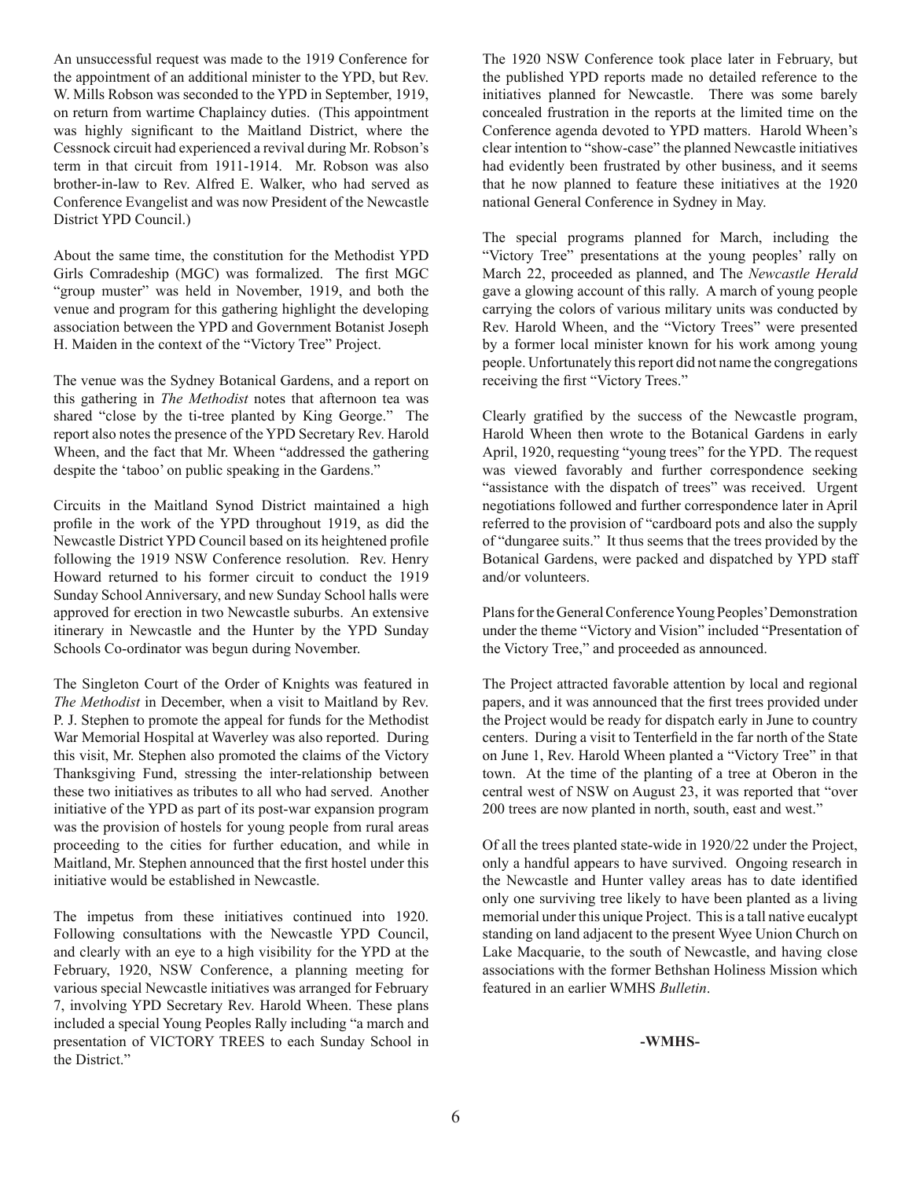An unsuccessful request was made to the 1919 Conference for the appointment of an additional minister to the YPD, but Rev. W. Mills Robson was seconded to the YPD in September, 1919, on return from wartime Chaplaincy duties. (This appointment was highly significant to the Maitland District, where the Cessnock circuit had experienced a revival during Mr. Robson's term in that circuit from 1911-1914. Mr. Robson was also brother-in-law to Rev. Alfred E. Walker, who had served as Conference Evangelist and was now President of the Newcastle District YPD Council.)

About the same time, the constitution for the Methodist YPD Girls Comradeship (MGC) was formalized. The first MGC "group muster" was held in November, 1919, and both the venue and program for this gathering highlight the developing association between the YPD and Government Botanist Joseph H. Maiden in the context of the "Victory Tree" Project.

The venue was the Sydney Botanical Gardens, and a report on this gathering in *The Methodist* notes that afternoon tea was shared "close by the ti-tree planted by King George." The report also notes the presence of the YPD Secretary Rev. Harold Wheen, and the fact that Mr. Wheen "addressed the gathering despite the 'taboo' on public speaking in the Gardens."

Circuits in the Maitland Synod District maintained a high profile in the work of the YPD throughout 1919, as did the Newcastle District YPD Council based on its heightened profile following the 1919 NSW Conference resolution. Rev. Henry Howard returned to his former circuit to conduct the 1919 Sunday School Anniversary, and new Sunday School halls were approved for erection in two Newcastle suburbs. An extensive itinerary in Newcastle and the Hunter by the YPD Sunday Schools Co-ordinator was begun during November.

The Singleton Court of the Order of Knights was featured in *The Methodist* in December, when a visit to Maitland by Rev. P. J. Stephen to promote the appeal for funds for the Methodist War Memorial Hospital at Waverley was also reported. During this visit, Mr. Stephen also promoted the claims of the Victory Thanksgiving Fund, stressing the inter-relationship between these two initiatives as tributes to all who had served. Another initiative of the YPD as part of its post-war expansion program was the provision of hostels for young people from rural areas proceeding to the cities for further education, and while in Maitland, Mr. Stephen announced that the first hostel under this initiative would be established in Newcastle.

The impetus from these initiatives continued into 1920. Following consultations with the Newcastle YPD Council, and clearly with an eye to a high visibility for the YPD at the February, 1920, NSW Conference, a planning meeting for various special Newcastle initiatives was arranged for February 7, involving YPD Secretary Rev. Harold Wheen. These plans included a special Young Peoples Rally including "a march and presentation of VICTORY TREES to each Sunday School in the District."

The 1920 NSW Conference took place later in February, but the published YPD reports made no detailed reference to the initiatives planned for Newcastle. There was some barely concealed frustration in the reports at the limited time on the Conference agenda devoted to YPD matters. Harold Wheen's clear intention to "show-case" the planned Newcastle initiatives had evidently been frustrated by other business, and it seems that he now planned to feature these initiatives at the 1920 national General Conference in Sydney in May.

The special programs planned for March, including the "Victory Tree" presentations at the young peoples' rally on March 22, proceeded as planned, and The *Newcastle Herald* gave a glowing account of this rally. A march of young people carrying the colors of various military units was conducted by Rev. Harold Wheen, and the "Victory Trees" were presented by a former local minister known for his work among young people. Unfortunately this report did not name the congregations receiving the first "Victory Trees."

Clearly gratified by the success of the Newcastle program, Harold Wheen then wrote to the Botanical Gardens in early April, 1920, requesting "young trees" for the YPD. The request was viewed favorably and further correspondence seeking "assistance with the dispatch of trees" was received. Urgent negotiations followed and further correspondence later in April referred to the provision of "cardboard pots and also the supply of "dungaree suits." It thus seems that the trees provided by the Botanical Gardens, were packed and dispatched by YPD staff and/or volunteers.

Plans for the General Conference Young Peoples' Demonstration under the theme "Victory and Vision" included "Presentation of the Victory Tree," and proceeded as announced.

The Project attracted favorable attention by local and regional papers, and it was announced that the first trees provided under the Project would be ready for dispatch early in June to country centers. During a visit to Tenterfield in the far north of the State on June 1, Rev. Harold Wheen planted a "Victory Tree" in that town. At the time of the planting of a tree at Oberon in the central west of NSW on August 23, it was reported that "over 200 trees are now planted in north, south, east and west."

Of all the trees planted state-wide in 1920/22 under the Project, only a handful appears to have survived. Ongoing research in the Newcastle and Hunter valley areas has to date identified only one surviving tree likely to have been planted as a living memorial under this unique Project. This is a tall native eucalypt standing on land adjacent to the present Wyee Union Church on Lake Macquarie, to the south of Newcastle, and having close associations with the former Bethshan Holiness Mission which featured in an earlier WMHS *Bulletin*.

**-WMHS-**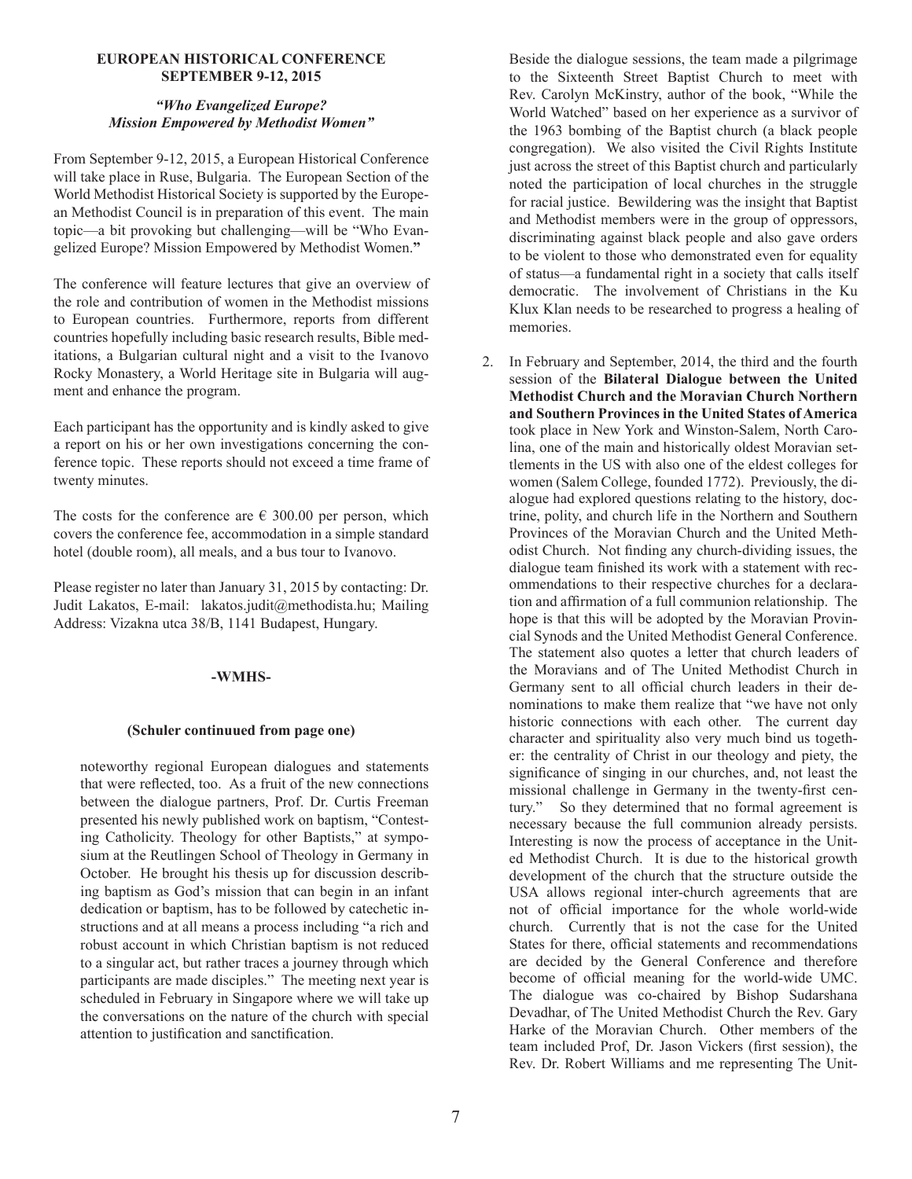#### **EUROPEAN HISTORICAL CONFERENCE SEPTEMBER 9-12, 2015**

#### *"Who Evangelized Europe? Mission Empowered by Methodist Women"*

From September 9-12, 2015, a European Historical Conference will take place in Ruse, Bulgaria. The European Section of the World Methodist Historical Society is supported by the European Methodist Council is in preparation of this event. The main topic—a bit provoking but challenging—will be "Who Evangelized Europe? Mission Empowered by Methodist Women.**"**

The conference will feature lectures that give an overview of the role and contribution of women in the Methodist missions to European countries. Furthermore, reports from different countries hopefully including basic research results, Bible meditations, a Bulgarian cultural night and a visit to the Ivanovo Rocky Monastery, a World Heritage site in Bulgaria will augment and enhance the program.

Each participant has the opportunity and is kindly asked to give a report on his or her own investigations concerning the conference topic. These reports should not exceed a time frame of twenty minutes.

The costs for the conference are  $\epsilon$  300.00 per person, which covers the conference fee, accommodation in a simple standard hotel (double room), all meals, and a bus tour to Ivanovo.

Please register no later than January 31, 2015 by contacting: Dr. Judit Lakatos, E-mail: lakatos.judit@methodista.hu; Mailing Address: Vizakna utca 38/B, 1141 Budapest, Hungary.

#### **-WMHS-**

#### **(Schuler continuued from page one)**

noteworthy regional European dialogues and statements that were reflected, too. As a fruit of the new connections between the dialogue partners, Prof. Dr. Curtis Freeman presented his newly published work on baptism, "Contesting Catholicity. Theology for other Baptists," at symposium at the Reutlingen School of Theology in Germany in October. He brought his thesis up for discussion describing baptism as God's mission that can begin in an infant dedication or baptism, has to be followed by catechetic instructions and at all means a process including "a rich and robust account in which Christian baptism is not reduced to a singular act, but rather traces a journey through which participants are made disciples." The meeting next year is scheduled in February in Singapore where we will take up the conversations on the nature of the church with special attention to justification and sanctification.

Beside the dialogue sessions, the team made a pilgrimage to the Sixteenth Street Baptist Church to meet with Rev. Carolyn McKinstry, author of the book, "While the World Watched" based on her experience as a survivor of the 1963 bombing of the Baptist church (a black people congregation). We also visited the Civil Rights Institute just across the street of this Baptist church and particularly noted the participation of local churches in the struggle for racial justice. Bewildering was the insight that Baptist and Methodist members were in the group of oppressors, discriminating against black people and also gave orders to be violent to those who demonstrated even for equality of status—a fundamental right in a society that calls itself democratic. The involvement of Christians in the Ku Klux Klan needs to be researched to progress a healing of memories.

2. In February and September, 2014, the third and the fourth session of the **Bilateral Dialogue between the United Methodist Church and the Moravian Church Northern and Southern Provinces in the United States of America** took place in New York and Winston-Salem, North Carolina, one of the main and historically oldest Moravian settlements in the US with also one of the eldest colleges for women (Salem College, founded 1772). Previously, the dialogue had explored questions relating to the history, doctrine, polity, and church life in the Northern and Southern Provinces of the Moravian Church and the United Methodist Church. Not finding any church-dividing issues, the dialogue team finished its work with a statement with recommendations to their respective churches for a declaration and affirmation of a full communion relationship. The hope is that this will be adopted by the Moravian Provincial Synods and the United Methodist General Conference. The statement also quotes a letter that church leaders of the Moravians and of The United Methodist Church in Germany sent to all official church leaders in their denominations to make them realize that "we have not only historic connections with each other. The current day character and spirituality also very much bind us together: the centrality of Christ in our theology and piety, the significance of singing in our churches, and, not least the missional challenge in Germany in the twenty-first century." So they determined that no formal agreement is necessary because the full communion already persists. Interesting is now the process of acceptance in the United Methodist Church. It is due to the historical growth development of the church that the structure outside the USA allows regional inter-church agreements that are not of official importance for the whole world-wide church. Currently that is not the case for the United States for there, official statements and recommendations are decided by the General Conference and therefore become of official meaning for the world-wide UMC. The dialogue was co-chaired by Bishop Sudarshana Devadhar, of The United Methodist Church the Rev. Gary Harke of the Moravian Church. Other members of the team included Prof, Dr. Jason Vickers (first session), the Rev. Dr. Robert Williams and me representing The Unit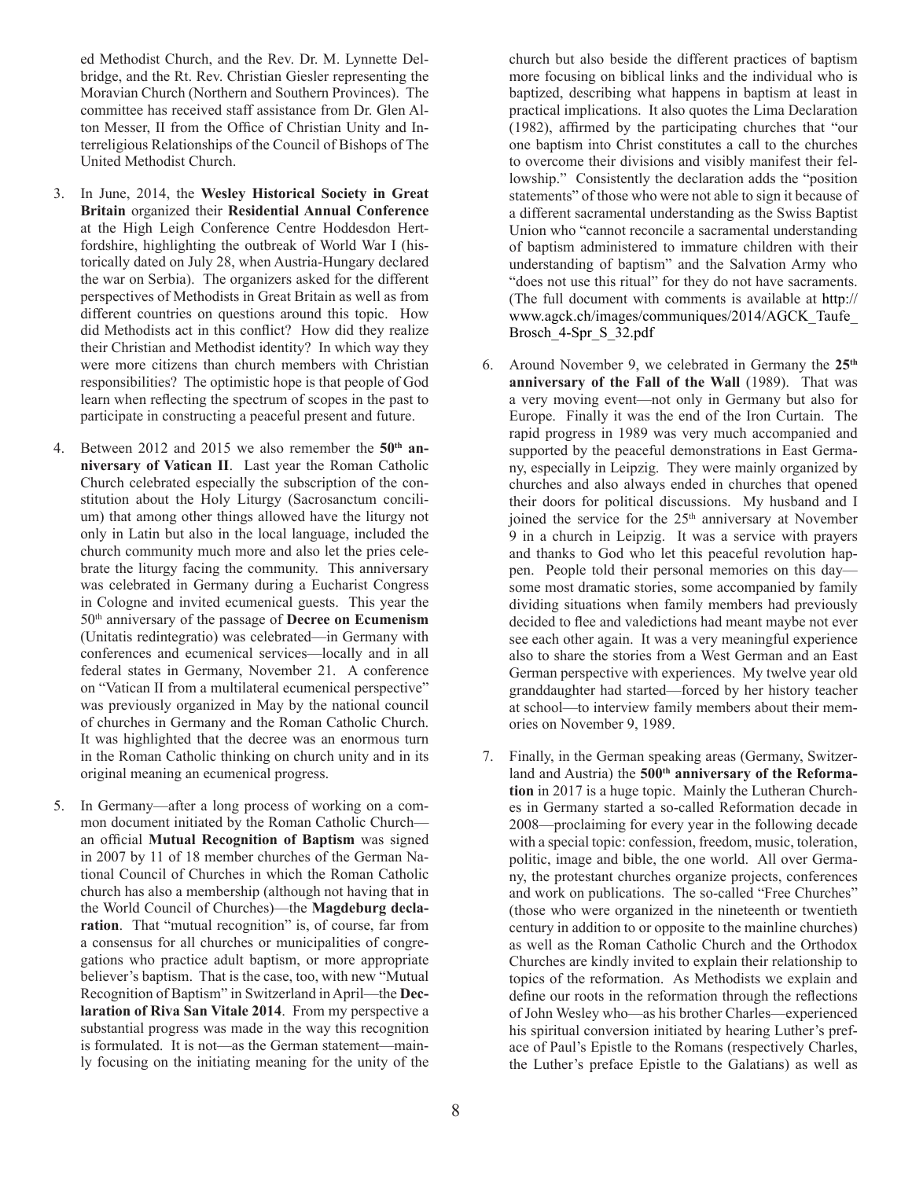ed Methodist Church, and the Rev. Dr. M. Lynnette Delbridge, and the Rt. Rev. Christian Giesler representing the Moravian Church (Northern and Southern Provinces). The committee has received staff assistance from Dr. Glen Alton Messer, II from the Office of Christian Unity and Interreligious Relationships of the Council of Bishops of The United Methodist Church.

- 3. In June, 2014, the **Wesley Historical Society in Great Britain** organized their **Residential Annual Conference** at the High Leigh Conference Centre Hoddesdon Hertfordshire, highlighting the outbreak of World War I (historically dated on July 28, when Austria-Hungary declared the war on Serbia). The organizers asked for the different perspectives of Methodists in Great Britain as well as from different countries on questions around this topic. How did Methodists act in this conflict? How did they realize their Christian and Methodist identity? In which way they were more citizens than church members with Christian responsibilities? The optimistic hope is that people of God learn when reflecting the spectrum of scopes in the past to participate in constructing a peaceful present and future.
- 4. Between 2012 and 2015 we also remember the **50th anniversary of Vatican II**. Last year the Roman Catholic Church celebrated especially the subscription of the constitution about the Holy Liturgy (Sacrosanctum concilium) that among other things allowed have the liturgy not only in Latin but also in the local language, included the church community much more and also let the pries celebrate the liturgy facing the community. This anniversary was celebrated in Germany during a Eucharist Congress in Cologne and invited ecumenical guests. This year the 50th anniversary of the passage of **Decree on Ecumenism** (Unitatis redintegratio) was celebrated—in Germany with conferences and ecumenical services—locally and in all federal states in Germany, November 21. A conference on "Vatican II from a multilateral ecumenical perspective" was previously organized in May by the national council of churches in Germany and the Roman Catholic Church. It was highlighted that the decree was an enormous turn in the Roman Catholic thinking on church unity and in its original meaning an ecumenical progress.
- 5. In Germany—after a long process of working on a common document initiated by the Roman Catholic Church an official **Mutual Recognition of Baptism** was signed in 2007 by 11 of 18 member churches of the German National Council of Churches in which the Roman Catholic church has also a membership (although not having that in the World Council of Churches)—the **Magdeburg declaration**. That "mutual recognition" is, of course, far from a consensus for all churches or municipalities of congregations who practice adult baptism, or more appropriate believer's baptism. That is the case, too, with new "Mutual Recognition of Baptism" in Switzerland in April—the **Declaration of Riva San Vitale 2014**. From my perspective a substantial progress was made in the way this recognition is formulated. It is not—as the German statement—mainly focusing on the initiating meaning for the unity of the

church but also beside the different practices of baptism more focusing on biblical links and the individual who is baptized, describing what happens in baptism at least in practical implications. It also quotes the Lima Declaration (1982), affirmed by the participating churches that "our one baptism into Christ constitutes a call to the churches to overcome their divisions and visibly manifest their fellowship." Consistently the declaration adds the "position statements" of those who were not able to sign it because of a different sacramental understanding as the Swiss Baptist Union who "cannot reconcile a sacramental understanding of baptism administered to immature children with their understanding of baptism" and the Salvation Army who "does not use this ritual" for they do not have sacraments. (The full document with comments is available at http:// www.agck.ch/images/communiques/2014/AGCK\_Taufe\_ Brosch\_4-Spr\_S\_32.pdf

- 6. Around November 9, we celebrated in Germany the **25th anniversary of the Fall of the Wall** (1989). That was a very moving event—not only in Germany but also for Europe. Finally it was the end of the Iron Curtain. The rapid progress in 1989 was very much accompanied and supported by the peaceful demonstrations in East Germany, especially in Leipzig. They were mainly organized by churches and also always ended in churches that opened their doors for political discussions. My husband and I joined the service for the 25<sup>th</sup> anniversary at November 9 in a church in Leipzig. It was a service with prayers and thanks to God who let this peaceful revolution happen. People told their personal memories on this day some most dramatic stories, some accompanied by family dividing situations when family members had previously decided to flee and valedictions had meant maybe not ever see each other again. It was a very meaningful experience also to share the stories from a West German and an East German perspective with experiences. My twelve year old granddaughter had started—forced by her history teacher at school—to interview family members about their memories on November 9, 1989.
- 7. Finally, in the German speaking areas (Germany, Switzerland and Austria) the 500<sup>th</sup> anniversary of the Reforma**tion** in 2017 is a huge topic. Mainly the Lutheran Churches in Germany started a so-called Reformation decade in 2008—proclaiming for every year in the following decade with a special topic: confession, freedom, music, toleration, politic, image and bible, the one world. All over Germany, the protestant churches organize projects, conferences and work on publications. The so-called "Free Churches" (those who were organized in the nineteenth or twentieth century in addition to or opposite to the mainline churches) as well as the Roman Catholic Church and the Orthodox Churches are kindly invited to explain their relationship to topics of the reformation. As Methodists we explain and define our roots in the reformation through the reflections of John Wesley who—as his brother Charles—experienced his spiritual conversion initiated by hearing Luther's preface of Paul's Epistle to the Romans (respectively Charles, the Luther's preface Epistle to the Galatians) as well as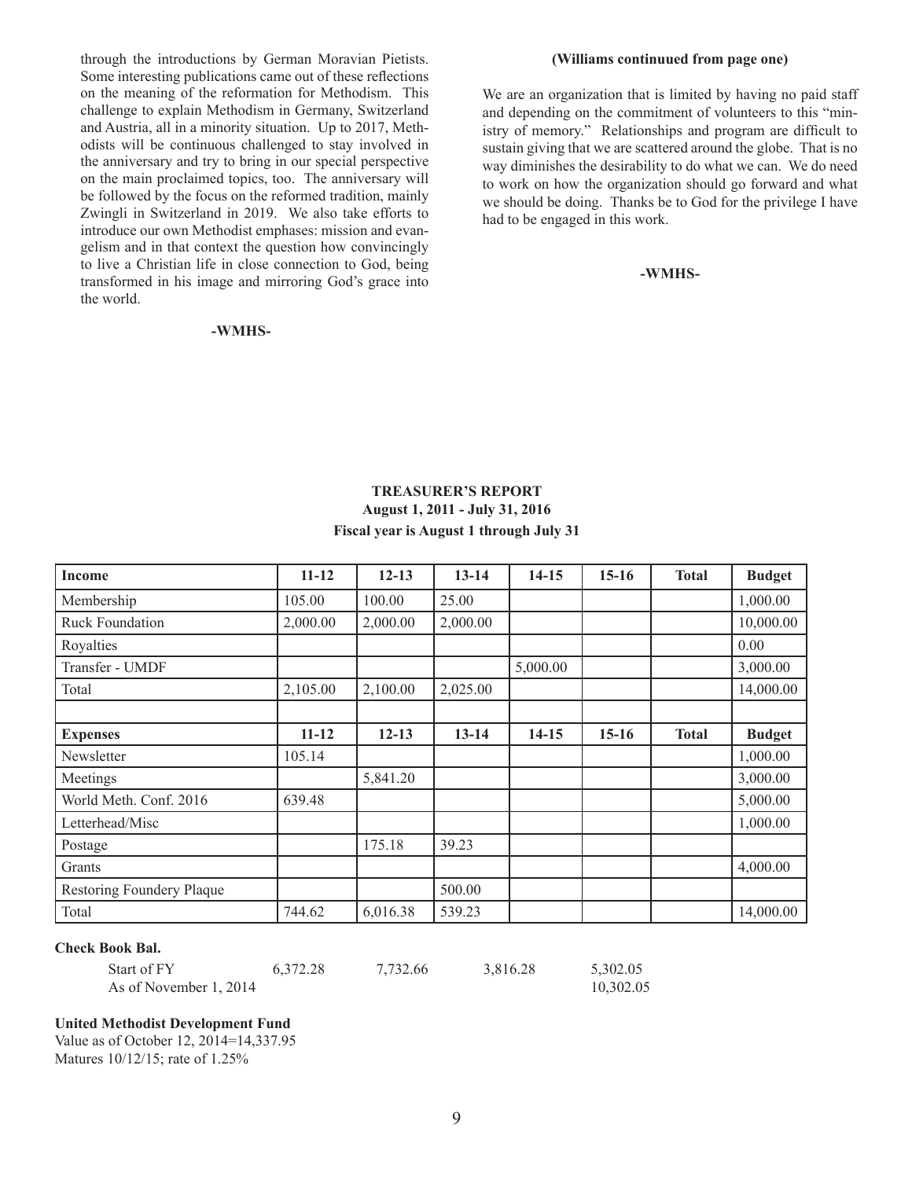through the introductions by German Moravian Pietists. Some interesting publications came out of these reflections on the meaning of the reformation for Methodism. This challenge to explain Methodism in Germany, Switzerland and Austria, all in a minority situation. Up to 2017, Methodists will be continuous challenged to stay involved in the anniversary and try to bring in our special perspective on the main proclaimed topics, too. The anniversary will be followed by the focus on the reformed tradition, mainly Zwingli in Switzerland in 2019. We also take efforts to introduce our own Methodist emphases: mission and evangelism and in that context the question how convincingly to live a Christian life in close connection to God, being transformed in his image and mirroring God's grace into the world.

#### **-WMHS-**

#### **(Williams continuued from page one)**

We are an organization that is limited by having no paid staff and depending on the commitment of volunteers to this "ministry of memory." Relationships and program are difficult to sustain giving that we are scattered around the globe. That is no way diminishes the desirability to do what we can. We do need to work on how the organization should go forward and what we should be doing. Thanks be to God for the privilege I have had to be engaged in this work.

#### **-WMHS-**

#### **TREASURER'S REPORT August 1, 2011 - July 31, 2016 Fiscal year is August 1 through July 31**

| <b>Income</b>             | $11 - 12$ | $12 - 13$ | $13 - 14$ | $14 - 15$ | $15-16$   | <b>Total</b> | <b>Budget</b> |
|---------------------------|-----------|-----------|-----------|-----------|-----------|--------------|---------------|
| Membership                | 105.00    | 100.00    | 25.00     |           |           |              | 1,000.00      |
| <b>Ruck Foundation</b>    | 2,000.00  | 2,000.00  | 2,000.00  |           |           |              | 10,000.00     |
| Royalties                 |           |           |           |           |           |              | 0.00          |
| Transfer - UMDF           |           |           |           | 5,000.00  |           |              | 3,000.00      |
| Total                     | 2,105.00  | 2,100.00  | 2,025.00  |           |           |              | 14,000.00     |
|                           |           |           |           |           |           |              |               |
| <b>Expenses</b>           | $11 - 12$ | $12 - 13$ | $13 - 14$ | $14 - 15$ | $15 - 16$ | <b>Total</b> | <b>Budget</b> |
| Newsletter                | 105.14    |           |           |           |           |              | 1,000.00      |
| Meetings                  |           | 5,841.20  |           |           |           |              | 3,000.00      |
| World Meth. Conf. 2016    | 639.48    |           |           |           |           |              | 5,000.00      |
| Letterhead/Misc           |           |           |           |           |           |              | 1,000.00      |
| Postage                   |           | 175.18    | 39.23     |           |           |              |               |
| Grants                    |           |           |           |           |           |              | 4,000.00      |
| Restoring Foundery Plaque |           |           | 500.00    |           |           |              |               |
| Total                     | 744.62    | 6,016.38  | 539.23    |           |           |              | 14,000.00     |

#### **Check Book Bal.**

| Start of FY            | 6,372.28 | 7,732.66 | 3,816.28 | 5,302.05  |
|------------------------|----------|----------|----------|-----------|
| As of November 1, 2014 |          |          |          | 10,302.05 |

#### **United Methodist Development Fund**

Value as of October 12, 2014=14,337.95 Matures 10/12/15; rate of 1.25%